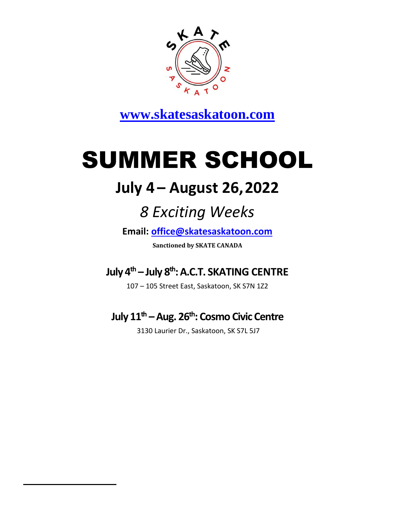

**[www.skatesaskatoon.com](http://www.skatesaskatoon.com/)**

# SUMMER SCHOOL

## **July 4 – August 26,2022**

# *8 Exciting Weeks*

**Email: [office@skatesaskatoon.com](mailto:office@skatesaskatoon.com)**

**Sanctioned by SKATE CANADA**

**July 4th – July 8 th: A.C.T. SKATING CENTRE**

107 – 105 Street East, Saskatoon, SK S7N 1Z2

### **July 11th –Aug. 26th: Cosmo Civic Centre**

3130 Laurier Dr., Saskatoon, SK S7L 5J7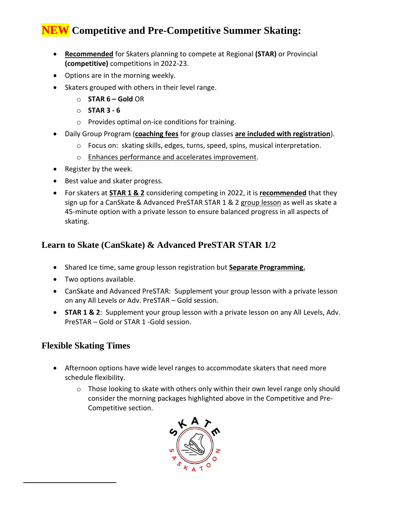### **NEW Competitive and Pre-Competitive Summer Skating:**

- **Recommended** for Skaters planning to compete at Regional **(STAR)** or Provincial **(competitive)** competitions in 2022-23.
- Options are in the morning weekly.
- Skaters grouped with others in their level range.
	- o **STAR 6 – Gold** OR
	- o **STAR 3 - 6**
	- o Provides optimal on-ice conditions for training.
- Daily Group Program (**coaching fees** for group classes **are included with registration**).
	- o Focus on: skating skills, edges, turns, speed, spins, musical interpretation.
	- o Enhances performance and accelerates improvement.
- Register by the week.
- Best value and skater progress.
- For skaters at **STAR 1 & 2** considering competing in 2022, it is **recommended** that they sign up for a CanSkate & Advanced PreSTAR STAR 1 & 2 group lesson as well as skate a 45-minute option with a private lesson to ensure balanced progress in all aspects of skating.

#### **Learn to Skate (CanSkate) & Advanced PreSTAR STAR 1/2**

- Shared Ice time, same group lesson registration but **Separate Programming.**
- Two options available.
- CanSkate and Advanced PreSTAR: Supplement your group lesson with a private lesson on any All Levels or Adv. PreSTAR – Gold session.
- **STAR 1 & 2**: Supplement your group lesson with a private lesson on any All Levels, Adv. PreSTAR – Gold or STAR 1 -Gold session.

#### **Flexible Skating Times**

- Afternoon options have wide level ranges to accommodate skaters that need more schedule flexibility.
	- $\circ$  Those looking to skate with others only within their own level range only should consider the morning packages highlighted above in the Competitive and Pre-Competitive section.

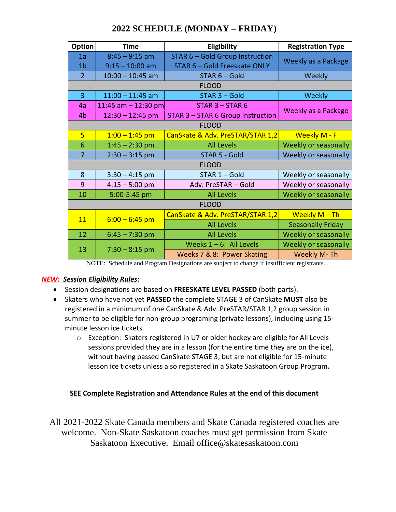| <b>Option</b>  | <b>Time</b>                             | Eligibility                            | <b>Registration Type</b>   |  |  |  |  |  |
|----------------|-----------------------------------------|----------------------------------------|----------------------------|--|--|--|--|--|
| 1a             | $8:45 - 9:15$ am                        | <b>STAR 6 - Gold Group Instruction</b> |                            |  |  |  |  |  |
| 1 <sub>b</sub> | $9:15 - 10:00$ am                       | STAR 6 - Gold Freeskate ONLY           | Weekly as a Package        |  |  |  |  |  |
| $\overline{2}$ | $10:00 - 10:45$ am                      | STAR 6 - Gold                          | Weekly                     |  |  |  |  |  |
|                |                                         |                                        |                            |  |  |  |  |  |
| $\overline{3}$ | $11:00 - 11:45$ am                      | STAR 3 - Gold                          | Weekly                     |  |  |  |  |  |
| 4a             | 11:45 am $-$ 12:30 pm                   | $STAR 3 - STAR 6$                      |                            |  |  |  |  |  |
| 4b             | $12:30 - 12:45$ pm                      | STAR 3 - STAR 6 Group Instruction      | <b>Weekly as a Package</b> |  |  |  |  |  |
|                | <b>FLOOD</b>                            |                                        |                            |  |  |  |  |  |
| 5              | $1:00 - 1:45$ pm                        | CanSkate & Adv. PreSTAR/STAR 1,2       | <b>Weekly M - F</b>        |  |  |  |  |  |
| 6              | $1:45 - 2:30$ pm                        | <b>All Levels</b>                      | Weekly or seasonally       |  |  |  |  |  |
| 7              | $2:30 - 3:15$ pm                        | STAR 5 - Gold                          | Weekly or seasonally       |  |  |  |  |  |
|                |                                         | <b>FLOOD</b>                           |                            |  |  |  |  |  |
| 8              | $3:30 - 4:15$ pm                        | $STAR 1 - Gold$                        | Weekly or seasonally       |  |  |  |  |  |
| 9              | $4:15 - 5:00$ pm<br>Adv. PreSTAR - Gold |                                        | Weekly or seasonally       |  |  |  |  |  |
| 10             | 5:00-5:45 pm<br><b>All Levels</b>       |                                        | Weekly or seasonally       |  |  |  |  |  |
| <b>FLOOD</b>   |                                         |                                        |                            |  |  |  |  |  |
| 11             | $6:00 - 6:45$ pm                        | CanSkate & Adv. PreSTAR/STAR 1,2       | Weekly $M$ – Th            |  |  |  |  |  |
|                |                                         | <b>All Levels</b>                      | <b>Seasonally Friday</b>   |  |  |  |  |  |
| 12             | $6:45 - 7:30$ pm                        | <b>All Levels</b>                      | Weekly or seasonally       |  |  |  |  |  |
| 13             |                                         | Weeks $1 - 6$ : All Levels             | Weekly or seasonally       |  |  |  |  |  |
|                | $7:30 - 8:15$ pm                        | Weeks 7 & 8: Power Skating             | Weekly M-Th                |  |  |  |  |  |

#### **2022 SCHEDULE (MONDAY – FRIDAY)**

NOTE: Schedule and Program Designations are subject to change if insufficient registrants.

#### *NEW: Session Eligibility Rules:*

- Session designations are based on **FREESKATE LEVEL PASSED** (both parts).
- Skaters who have not yet **PASSED** the complete STAGE 3 of CanSkate **MUST** also be registered in a minimum of one CanSkate & Adv. PreSTAR/STAR 1,2 group session in summer to be eligible for non-group programing (private lessons), including using 15 minute lesson ice tickets.
	- o Exception: Skaters registered in U7 or older hockey are eligible for All Levels sessions provided they are in a lesson (for the entire time they are on the ice), without having passed CanSkate STAGE 3, but are not eligible for 15-minute lesson ice tickets unless also registered in a Skate Saskatoon Group Program**.**

#### **SEE Complete Registration and Attendance Rules at the end of this document**

All 2021-2022 Skate Canada members and Skate Canada registered coaches are welcome. Non-Skate Saskatoon coaches must get permission from Skate Saskatoon Executive. Email office@skatesaskatoon.com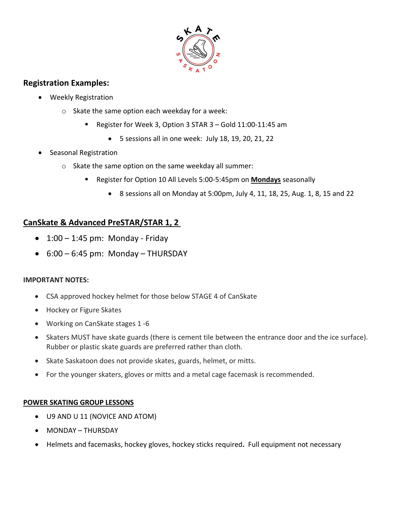

#### **Registration Examples:**

- Weekly Registration
	- o Skate the same option each weekday for a week:
		- Register for Week 3, Option 3 STAR 3 Gold 11:00-11:45 am
			- 5 sessions all in one week: July 18, 19, 20, 21, 22
- Seasonal Registration
	- o Skate the same option on the same weekday all summer:
		- Register for Option 10 All Levels 5:00-5:45pm on **Mondays** seasonally
			- 8 sessions all on Monday at 5:00pm, July 4, 11, 18, 25, Aug. 1, 8, 15 and 22

#### **CanSkate & Advanced PreSTAR/STAR 1, 2**

- $\bullet$  1:00 1:45 pm: Monday Friday
- $\bullet$  6:00 6:45 pm: Monday THURSDAY

#### **IMPORTANT NOTES:**

- CSA approved hockey helmet for those below STAGE 4 of CanSkate
- Hockey or Figure Skates
- Working on CanSkate stages 1 -6
- Skaters MUST have skate guards (there is cement tile between the entrance door and the ice surface). Rubber or plastic skate guards are preferred rather than cloth.
- Skate Saskatoon does not provide skates, guards, helmet, or mitts.
- For the younger skaters, gloves or mitts and a metal cage facemask is recommended.

#### **POWER SKATING GROUP LESSONS**

- U9 AND U 11 (NOVICE AND ATOM)
- MONDAY THURSDAY
- Helmets and facemasks, hockey gloves, hockey sticks required**.** Full equipment not necessary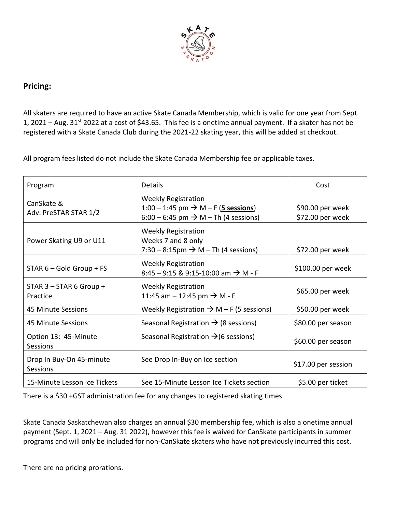

#### **Pricing:**

All skaters are required to have an active Skate Canada Membership, which is valid for one year from Sept. 1, 2021 – Aug. 31<sup>st</sup> 2022 at a cost of \$43.65. This fee is a onetime annual payment. If a skater has not be registered with a Skate Canada Club during the 2021-22 skating year, this will be added at checkout.

All program fees listed do not include the Skate Canada Membership fee or applicable taxes.

| Program                               | <b>Details</b>                                                                                                                    | Cost                                 |
|---------------------------------------|-----------------------------------------------------------------------------------------------------------------------------------|--------------------------------------|
| CanSkate &<br>Adv. PreSTAR STAR 1/2   | <b>Weekly Registration</b><br>1:00 − 1:45 pm $\rightarrow$ M − F (5 sessions)<br>6:00 – 6:45 pm $\rightarrow$ M – Th (4 sessions) | \$90.00 per week<br>\$72.00 per week |
| Power Skating U9 or U11               | <b>Weekly Registration</b><br>Weeks 7 and 8 only<br>7:30 – 8:15pm $\rightarrow$ M – Th (4 sessions)                               | \$72.00 per week                     |
| STAR 6 - Gold Group + FS              | <b>Weekly Registration</b><br>8:45 - 9:15 & 9:15-10:00 am $\rightarrow$ M - F                                                     | \$100.00 per week                    |
| $STAR 3 - STAR 6 Group +$<br>Practice | <b>Weekly Registration</b><br>11:45 am $-$ 12:45 pm $\rightarrow$ M - F                                                           | \$65.00 per week                     |
| 45 Minute Sessions                    | Weekly Registration $\rightarrow$ M – F (5 sessions)                                                                              | \$50.00 per week                     |
| 45 Minute Sessions                    | Seasonal Registration $\rightarrow$ (8 sessions)                                                                                  | \$80.00 per season                   |
| Option 13: 45-Minute<br>Sessions      | Seasonal Registration $\rightarrow$ (6 sessions)                                                                                  | \$60.00 per season                   |
| Drop In Buy-On 45-minute<br>Sessions  | See Drop In-Buy on Ice section                                                                                                    | \$17.00 per session                  |
| 15-Minute Lesson Ice Tickets          | See 15-Minute Lesson Ice Tickets section                                                                                          | \$5.00 per ticket                    |

There is a \$30 +GST administration fee for any changes to registered skating times.

Skate Canada Saskatchewan also charges an annual \$30 membership fee, which is also a onetime annual payment (Sept. 1, 2021 – Aug. 31 2022), however this fee is waived for CanSkate participants in summer programs and will only be included for non-CanSkate skaters who have not previously incurred this cost.

There are no pricing prorations.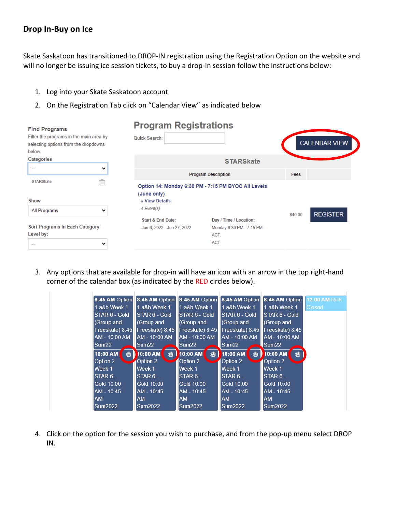#### **Drop In-Buy on Ice**

Skate Saskatoon has transitioned to DROP-IN registration using the Registration Option on the website and will no longer be issuing ice session tickets, to buy a drop-in session follow the instructions below:

- 1. Log into your Skate Saskatoon account
- 2. On the Registration Tab click on "Calendar View" as indicated below

| <b>Find Programs</b>                                                                      |             | <b>Program Registrations</b>                               |                                                                          |         |                      |
|-------------------------------------------------------------------------------------------|-------------|------------------------------------------------------------|--------------------------------------------------------------------------|---------|----------------------|
| Filter the programs in the main area by<br>selecting options from the dropdowns<br>below. |             | Quick Search:                                              |                                                                          |         | <b>CALENDAR VIEW</b> |
| Categories                                                                                |             |                                                            | <b>STARSkate</b>                                                         |         |                      |
| $\overline{\phantom{a}}$                                                                  | $\check{ }$ |                                                            | <b>Program Description</b>                                               | Fees    |                      |
| <b>STARSkate</b><br>Show                                                                  | û           | (June only)<br>» View Details                              | Option 14: Monday 6:30 PM - 7:15 PM BYOC All Levels                      |         |                      |
| All Programs                                                                              | v           | 4 Event(s)                                                 |                                                                          | \$40.00 | <b>REGISTER</b>      |
| <b>Sort Programs In Each Category</b><br>Level by:                                        | $\check{ }$ | <b>Start &amp; End Date:</b><br>Jun 6, 2022 - Jun 27, 2022 | Day / Time / Location:<br>Monday 6:30 PM - 7:15 PM<br>ACT.<br><b>ACT</b> |         |                      |

3. Any options that are available for drop-in will have an icon with an arrow in the top right-hand corner of the calendar box (as indicated by the RED circles below).

|                   |    | 8:45 AM Option 3:45 AM Option |   | 8:45 AM Option    |   | 8:45 AM Option    |   | 8:45 AM Option    |   | <b>12:00 AM Rink</b> |
|-------------------|----|-------------------------------|---|-------------------|---|-------------------|---|-------------------|---|----------------------|
| 1 a&b Week 1      |    | 1 a&b Week 1                  |   | 1 a&b Week 1      |   | 1 a&b Week 1      |   | 1 a&b Week 1      |   | <b>Closed</b>        |
| STAR 6 - Gold     |    | STAR 6 - Gold                 |   | STAR 6 - Gold     |   | STAR 6 - Gold     |   | STAR 6 - Gold     |   |                      |
| (Group and        |    | (Group and                    |   | (Group and        |   | (Group and        |   | (Group and        |   |                      |
| Freeskate) 8:45   |    | Freeskate) 8:45               |   | Freeskate) 8:45   |   | Freeskate) 8:45   |   | Freeskate) 8:45   |   |                      |
| AM - 10:00 AM     |    | AM - 10:00 AM                 |   | AM - 10:00 AM     |   | AM - 10:00 AM     |   | AM - 10:00 AM     |   |                      |
| Sum <sub>22</sub> |    | Sum <sub>22</sub>             |   | Sum <sub>22</sub> |   | Sum <sub>22</sub> |   | Sum <sub>22</sub> |   |                      |
| 10:00 AM          | 18 | 10:00 AM                      | 鴉 | 10:00 AM          | t | 10:00 AM          | 鴉 | 10:00 AM          | t |                      |
| Option 2          |    | Option 2                      |   | Option 2          |   | Option 2          |   | Option 2          |   |                      |
| Week 1            |    | Week 1                        |   | Week 1            |   | Week 1            |   | Week 1            |   |                      |
| $STAR 6 -$        |    | $STAR 6 -$                    |   | $STAR 6 -$        |   | $STAR 6 -$        |   | $STAR 6 -$        |   |                      |
| Gold 10:00        |    | Gold 10:00                    |   | Gold 10:00        |   | Gold 10:00        |   | Gold 10:00        |   |                      |
| AM - 10:45        |    | AM - 10:45                    |   | AM - 10:45        |   | AM - 10:45        |   | AM - 10:45        |   |                      |
| <b>AM</b>         |    | <b>AM</b>                     |   | <b>AM</b>         |   | <b>AM</b>         |   | <b>AM</b>         |   |                      |
| <b>Sum2022</b>    |    | <b>Sum2022</b>                |   | <b>Sum2022</b>    |   | <b>Sum2022</b>    |   | <b>Sum2022</b>    |   |                      |

4. Click on the option for the session you wish to purchase, and from the pop-up menu select DROP IN.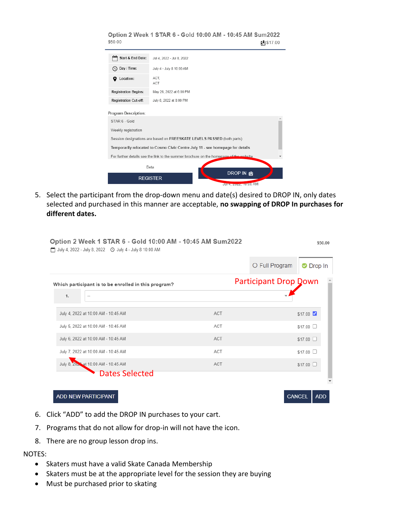| \$50.00                                                                        | Option 2 Week 1 STAR 6 - Gold 10:00 AM - 10:45 AM Sum2022<br>剩\$17.00                  |  |  |  |  |  |  |
|--------------------------------------------------------------------------------|----------------------------------------------------------------------------------------|--|--|--|--|--|--|
| Start & End Date:                                                              | Jul 4, 2022 - Jul 8, 2022                                                              |  |  |  |  |  |  |
| Day / Time:                                                                    | July 4 - July 8 10:00 AM                                                               |  |  |  |  |  |  |
| Location:                                                                      | ACT.<br>ACT                                                                            |  |  |  |  |  |  |
| <b>Registration Begins:</b>                                                    | May 26, 2022 at 6:00 PM                                                                |  |  |  |  |  |  |
| <b>Registration Cut-off:</b>                                                   | July 8, 2022 at 8:00 PM                                                                |  |  |  |  |  |  |
| <b>Program Description:</b>                                                    |                                                                                        |  |  |  |  |  |  |
| STAR 6 - Gold                                                                  |                                                                                        |  |  |  |  |  |  |
| Weekly registration                                                            |                                                                                        |  |  |  |  |  |  |
| Session designations are based on FREESKATE LEVELS PASSED (both parts)         |                                                                                        |  |  |  |  |  |  |
| Temporarily relocated to Cosmo Civic Centre July 11 - see homepage for details |                                                                                        |  |  |  |  |  |  |
|                                                                                | For further details see the link to the summer brochure on the homepage of the website |  |  |  |  |  |  |
|                                                                                | Beta                                                                                   |  |  |  |  |  |  |
|                                                                                | DROP IN a<br><b>REGISTER</b><br>July, 2022, 10.00 AM                                   |  |  |  |  |  |  |

5. Select the participant from the drop-down menu and date(s) desired to DROP IN, only dates selected and purchased in this manner are acceptable, **no swapping of DROP In purchases for different dates.**

|                                                      |            | O Full Program               | <b>O</b> Drop In        |
|------------------------------------------------------|------------|------------------------------|-------------------------|
| Which participant is to be enrolled in this program? |            | <b>Participant Drop Down</b> |                         |
| 1.                                                   |            |                              |                         |
| July 4, 2022 at 10:00 AM - 10:45 AM                  | ACT        |                              | $$17.00$ $\blacksquare$ |
| July 5, 2022 at 10:00 AM - 10:45 AM                  | ACT        |                              | \$17.00 □               |
| July 6, 2022 at 10:00 AM - 10:45 AM                  | ACT        |                              | \$17.00                 |
| July 7, 2022 at 10:00 AM - 10:45 AM                  | ACT        |                              | $$17.00$ $\Box$         |
| July 8, 2023 at 10:00 AM - 10:45 AM                  | <b>ACT</b> |                              | $$17.00$ $\Box$         |
| <b>Dates Selected</b>                                |            |                              |                         |

- 6. Click "ADD" to add the DROP IN purchases to your cart.
- 7. Programs that do not allow for drop-in will not have the icon.
- 8. There are no group lesson drop ins.

#### NOTES:

- Skaters must have a valid Skate Canada Membership
- Skaters must be at the appropriate level for the session they are buying
- Must be purchased prior to skating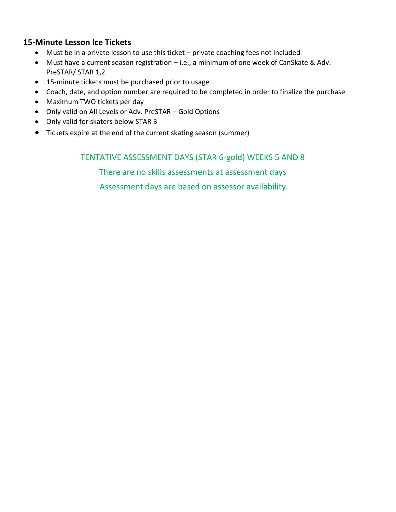#### **15-Minute Lesson Ice Tickets**

- Must be in a private lesson to use this ticket private coaching fees not included
- Must have a current season registration i.e., a minimum of one week of CanSkate & Adv. PreSTAR/ STAR 1,2
- 15-minute tickets must be purchased prior to usage
- Coach, date, and option number are required to be completed in order to finalize the purchase
- Maximum TWO tickets per day
- Only valid on All Levels or Adv. PreSTAR Gold Options
- Only valid for skaters below STAR 3
- Tickets expire at the end of the current skating season (summer)

#### TENTATIVE ASSESSMENT DAYS (STAR 6-gold) WEEKS 5 AND 8

There are no skills assessments at assessment days Assessment days are based on assessor availability